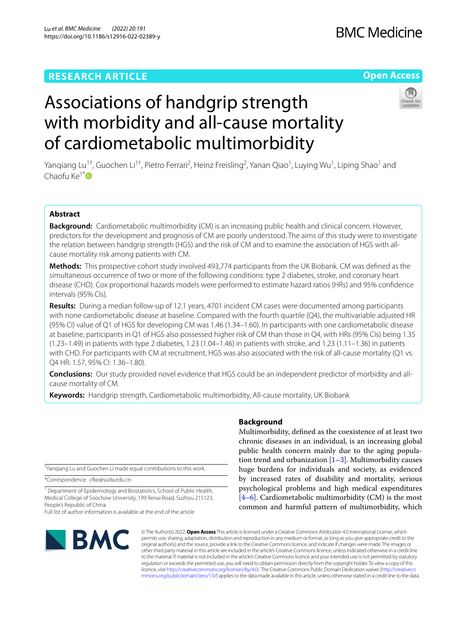# **RESEARCH ARTICLE**

# **Open Access**



# Associations of handgrip strength with morbidity and all-cause mortality of cardiometabolic multimorbidity

Yanqiang Lu<sup>1†</sup>, Guochen Li<sup>1†</sup>, Pietro Ferrari<sup>2</sup>, Heinz Freisling<sup>2</sup>, Yanan Qiao<sup>1</sup>, Luying Wu<sup>1</sup>, Liping Shao<sup>1</sup> and Chaofu Ke $1^*$ 

## **Abstract**

**Background:** Cardiometabolic multimorbidity (CM) is an increasing public health and clinical concern. However, predictors for the development and prognosis of CM are poorly understood. The aims of this study were to investigate the relation between handgrip strength (HGS) and the risk of CM and to examine the association of HGS with allcause mortality risk among patients with CM.

**Methods:** This prospective cohort study involved 493,774 participants from the UK Biobank. CM was defned as the simultaneous occurrence of two or more of the following conditions: type 2 diabetes, stroke, and coronary heart disease (CHD). Cox proportional hazards models were performed to estimate hazard ratios (HRs) and 95% confdence intervals (95% CIs).

**Results:** During a median follow-up of 12.1 years, 4701 incident CM cases were documented among participants with none cardiometabolic disease at baseline. Compared with the fourth quartile (Q4), the multivariable adjusted HR (95% CI) value of Q1 of HGS for developing CM was 1.46 (1.34–1.60). In participants with one cardiometabolic disease at baseline, participants in Q1 of HGS also possessed higher risk of CM than those in Q4, with HRs (95% CIs) being 1.35  $(1.23-1.49)$  in patients with type 2 diabetes,  $1.23$   $(1.04-1.46)$  in patients with stroke, and  $1.23$   $(1.11-1.36)$  in patients with CHD. For participants with CM at recruitment, HGS was also associated with the risk of all-cause mortality (Q1 vs. Q4 HR: 1.57, 95% CI: 1.36–1.80).

**Conclusions:** Our study provided novel evidence that HGS could be an independent predictor of morbidity and allcause mortality of CM.

**Keywords:** Handgrip strength, Cardiometabolic multimorbidity, All-cause mortality, UK Biobank

† Yanqiang Lu and Guochen Li made equal contributions to this work.

\*Correspondence: cfke@suda.edu.cn

<sup>1</sup> Department of Epidemiology and Biostatistics, School of Public Health, Medical College of Soochow University, 199 Renai Road, Suzhou 215123, People's Republic of China

Full list of author information is available at the end of the article

# **BMC**

## **Background**

Multimorbidity, defned as the coexistence of at least two chronic diseases in an individual, is an increasing global public health concern mainly due to the aging population trend and urbanization  $[1-3]$  $[1-3]$  $[1-3]$ . Multimorbidity causes huge burdens for individuals and society, as evidenced by increased rates of disability and mortality, serious psychological problems and high medical expenditures  $[4–6]$  $[4–6]$  $[4–6]$ . Cardiometabolic multimorbidity (CM) is the most common and harmful pattern of multimorbidity, which

© The Author(s) 2022. **Open Access** This article is licensed under a Creative Commons Attribution 4.0 International License, which permits use, sharing, adaptation, distribution and reproduction in any medium or format, as long as you give appropriate credit to the original author(s) and the source, provide a link to the Creative Commons licence, and indicate if changes were made. The images or other third party material in this article are included in the article's Creative Commons licence, unless indicated otherwise in a credit line to the material. If material is not included in the article's Creative Commons licence and your intended use is not permitted by statutory regulation or exceeds the permitted use, you will need to obtain permission directly from the copyright holder. To view a copy of this licence, visit [http://creativecommons.org/licenses/by/4.0/.](http://creativecommons.org/licenses/by/4.0/) The Creative Commons Public Domain Dedication waiver ([http://creativeco](http://creativecommons.org/publicdomain/zero/1.0/) [mmons.org/publicdomain/zero/1.0/](http://creativecommons.org/publicdomain/zero/1.0/)) applies to the data made available in this article, unless otherwise stated in a credit line to the data.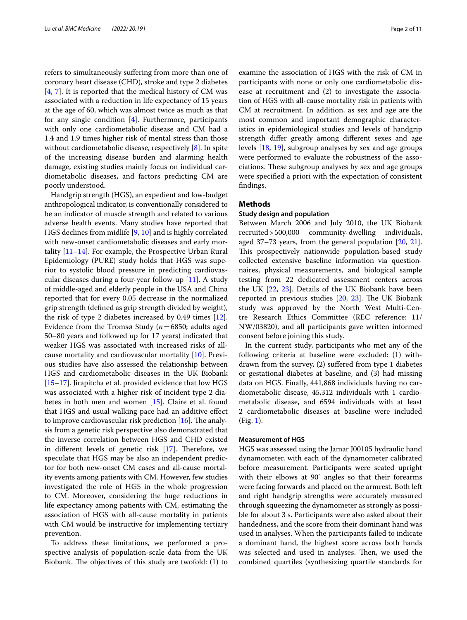refers to simultaneously sufering from more than one of coronary heart disease (CHD), stroke and type 2 diabetes [[4,](#page-8-2) [7](#page-8-4)]. It is reported that the medical history of CM was associated with a reduction in life expectancy of 15 years at the age of 60, which was almost twice as much as that for any single condition [\[4](#page-8-2)]. Furthermore, participants with only one cardiometabolic disease and CM had a 1.4 and 1.9 times higher risk of mental stress than those without cardiometabolic disease, respectively [\[8](#page-8-5)]. In spite of the increasing disease burden and alarming health damage, existing studies mainly focus on individual cardiometabolic diseases, and factors predicting CM are poorly understood.

Handgrip strength (HGS), an expedient and low-budget anthropological indicator, is conventionally considered to be an indicator of muscle strength and related to various adverse health events. Many studies have reported that HGS declines from midlife [[9,](#page-8-6) [10](#page-8-7)] and is highly correlated with new-onset cardiometabolic diseases and early mortality  $[11-14]$  $[11-14]$ . For example, the Prospective Urban Rural Epidemiology (PURE) study holds that HGS was superior to systolic blood pressure in predicting cardiovascular diseases during a four-year follow-up [\[11](#page-8-8)]. A study of middle-aged and elderly people in the USA and China reported that for every 0.05 decrease in the normalized grip strength (defned as grip strength divided by weight), the risk of type 2 diabetes increased by 0.49 times [\[12](#page-8-9)]. Evidence from the Tromsø Study (*n*=6850; adults aged 50–80 years and followed up for 17 years) indicated that weaker HGS was associated with increased risks of allcause mortality and cardiovascular mortality [[10](#page-8-7)]. Previous studies have also assessed the relationship between HGS and cardiometabolic diseases in the UK Biobank [[15–](#page-9-1)[17](#page-9-2)]. Jirapitcha et al. provided evidence that low HGS was associated with a higher risk of incident type 2 diabetes in both men and women [\[15](#page-9-1)]. Claire et al. found that HGS and usual walking pace had an additive efect to improve cardiovascular risk prediction  $[16]$  $[16]$ . The analysis from a genetic risk perspective also demonstrated that the inverse correlation between HGS and CHD existed in different levels of genetic risk  $[17]$  $[17]$ . Therefore, we speculate that HGS may be also an independent predictor for both new-onset CM cases and all-cause mortality events among patients with CM. However, few studies investigated the role of HGS in the whole progression to CM. Moreover, considering the huge reductions in life expectancy among patients with CM, estimating the association of HGS with all-cause mortality in patients with CM would be instructive for implementing tertiary prevention.

To address these limitations, we performed a prospective analysis of population-scale data from the UK Biobank. The objectives of this study are twofold: (1) to examine the association of HGS with the risk of CM in participants with none or only one cardiometabolic disease at recruitment and (2) to investigate the association of HGS with all-cause mortality risk in patients with CM at recruitment. In addition, as sex and age are the most common and important demographic characteristics in epidemiological studies and levels of handgrip strength difer greatly among diferent sexes and age levels [[18,](#page-9-4) [19\]](#page-9-5), subgroup analyses by sex and age groups were performed to evaluate the robustness of the associations. These subgroup analyses by sex and age groups were specifed a priori with the expectation of consistent fndings.

#### **Methods**

#### **Study design and population**

Between March 2006 and July 2010, the UK Biobank recruited>500,000 community-dwelling individuals, aged 37–73 years, from the general population [[20,](#page-9-6) [21](#page-9-7)]. This prospectively nationwide population-based study collected extensive baseline information via questionnaires, physical measurements, and biological sample testing from 22 dedicated assessment centers across the UK [[22,](#page-9-8) [23\]](#page-9-9). Details of the UK Biobank have been reported in previous studies  $[20, 23]$  $[20, 23]$  $[20, 23]$  $[20, 23]$ . The UK Biobank study was approved by the North West Multi-Centre Research Ethics Committee (REC reference: 11/ NW/03820), and all participants gave written informed consent before joining this study.

In the current study, participants who met any of the following criteria at baseline were excluded: (1) withdrawn from the survey, (2) sufered from type 1 diabetes or gestational diabetes at baseline, and (3) had missing data on HGS. Finally, 441,868 individuals having no cardiometabolic disease, 45,312 individuals with 1 cardiometabolic disease, and 6594 individuals with at least 2 cardiometabolic diseases at baseline were included (Fig. [1\)](#page-2-0).

#### **Measurement of HGS**

HGS was assessed using the Jamar J00105 hydraulic hand dynamometer, with each of the dynamometer calibrated before measurement. Participants were seated upright with their elbows at 90° angles so that their forearms were facing forwards and placed on the armrest. Both left and right handgrip strengths were accurately measured through squeezing the dynamometer as strongly as possible for about 3 s. Participants were also asked about their handedness, and the score from their dominant hand was used in analyses. When the participants failed to indicate a dominant hand, the highest score across both hands was selected and used in analyses. Then, we used the combined quartiles (synthesizing quartile standards for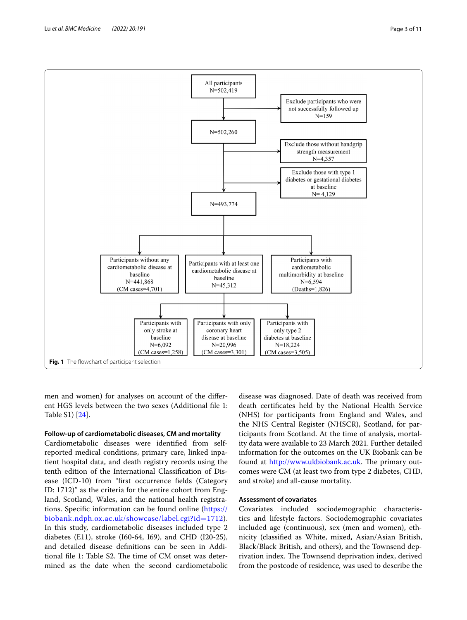

<span id="page-2-0"></span>men and women) for analyses on account of the diferent HGS levels between the two sexes (Additional fle 1: Table S1) [[24\]](#page-9-10).

#### **Follow‑up of cardiometabolic diseases, CM and mortality**

Cardiometabolic diseases were identifed from selfreported medical conditions, primary care, linked inpatient hospital data, and death registry records using the tenth edition of the International Classifcation of Disease (ICD-10) from "frst occurrence felds (Category ID: 1712)" as the criteria for the entire cohort from England, Scotland, Wales, and the national health registrations. Specifc information can be found online [\(https://](https://biobank.ndph.ox.ac.uk/showcase/label.cgi?id=1712) [biobank.ndph.ox.ac.uk/showcase/label.cgi?id](https://biobank.ndph.ox.ac.uk/showcase/label.cgi?id=1712)=1712). In this study, cardiometabolic diseases included type 2 diabetes (E11), stroke (I60-64, I69), and CHD (I20-25), and detailed disease defnitions can be seen in Additional file 1: Table S2. The time of CM onset was determined as the date when the second cardiometabolic

disease was diagnosed. Date of death was received from death certifcates held by the National Health Service (NHS) for participants from England and Wales, and the NHS Central Register (NHSCR), Scotland, for participants from Scotland. At the time of analysis, mortality data were available to 23 March 2021. Further detailed information for the outcomes on the UK Biobank can be found at <http://www.ukbiobank.ac.uk>. The primary outcomes were CM (at least two from type 2 diabetes, CHD, and stroke) and all-cause mortality.

#### **Assessment of covariates**

Covariates included sociodemographic characteristics and lifestyle factors. Sociodemographic covariates included age (continuous), sex (men and women), ethnicity (classifed as White, mixed, Asian/Asian British, Black/Black British, and others), and the Townsend deprivation index. The Townsend deprivation index, derived from the postcode of residence, was used to describe the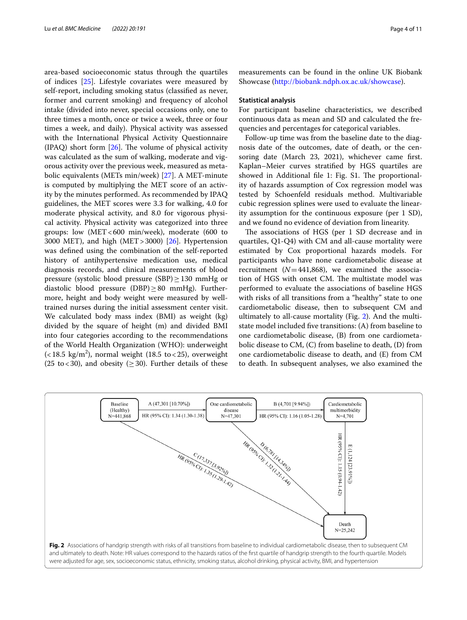area-based socioeconomic status through the quartiles of indices [\[25](#page-9-11)]. Lifestyle covariates were measured by self-report, including smoking status (classifed as never, former and current smoking) and frequency of alcohol intake (divided into never, special occasions only, one to three times a month, once or twice a week, three or four times a week, and daily). Physical activity was assessed with the International Physical Activity Questionnaire (IPAQ) short form  $[26]$ . The volume of physical activity was calculated as the sum of walking, moderate and vigorous activity over the previous week, measured as metabolic equivalents (METs min/week) [\[27\]](#page-9-13). A MET-minute is computed by multiplying the MET score of an activity by the minutes performed. As recommended by IPAQ guidelines, the MET scores were 3.3 for walking, 4.0 for moderate physical activity, and 8.0 for vigorous physical activity. Physical activity was categorized into three groups: low (MET<600 min/week), moderate (600 to 3000 MET), and high  $(MET > 3000)$  [\[26](#page-9-12)]. Hypertension was defned using the combination of the self-reported history of antihypertensive medication use, medical diagnosis records, and clinical measurements of blood pressure (systolic blood pressure (SBP) $\geq$ 130 mmHg or diastolic blood pressure (DBP) $\geq$ 80 mmHg). Furthermore, height and body weight were measured by welltrained nurses during the initial assessment center visit. We calculated body mass index (BMI) as weight (kg) divided by the square of height (m) and divided BMI into four categories according to the recommendations of the World Health Organization (WHO): underweight  $\left($  < 18.5 kg/m<sup>2</sup>), normal weight (18.5 to < 25), overweight (25 to <30), and obesity ( $\geq$ 30). Further details of these

measurements can be found in the online UK Biobank Showcase [\(http://biobank.ndph.ox.ac.uk/showcase\)](http://biobank.ndph.ox.ac.uk/showcase).

#### **Statistical analysis**

For participant baseline characteristics, we described continuous data as mean and SD and calculated the frequencies and percentages for categorical variables.

Follow-up time was from the baseline date to the diagnosis date of the outcomes, date of death, or the censoring date (March 23, 2021), whichever came frst. Kaplan–Meier curves stratifed by HGS quartiles are showed in Additional file 1: Fig. S1. The proportionality of hazards assumption of Cox regression model was tested by Schoenfeld residuals method. Multivariable cubic regression splines were used to evaluate the linearity assumption for the continuous exposure (per 1 SD), and we found no evidence of deviation from linearity.

The associations of HGS (per 1 SD decrease and in quartiles, Q1-Q4) with CM and all-cause mortality were estimated by Cox proportional hazards models. For participants who have none cardiometabolic disease at recruitment  $(N=441,868)$ , we examined the association of HGS with onset CM. The multistate model was performed to evaluate the associations of baseline HGS with risks of all transitions from a "healthy" state to one cardiometabolic disease, then to subsequent CM and ultimately to all-cause mortality (Fig. [2](#page-3-0)). And the multistate model included fve transitions: (A) from baseline to one cardiometabolic disease, (B) from one cardiometabolic disease to CM, (C) from baseline to death, (D) from one cardiometabolic disease to death, and (E) from CM to death. In subsequent analyses, we also examined the

<span id="page-3-0"></span>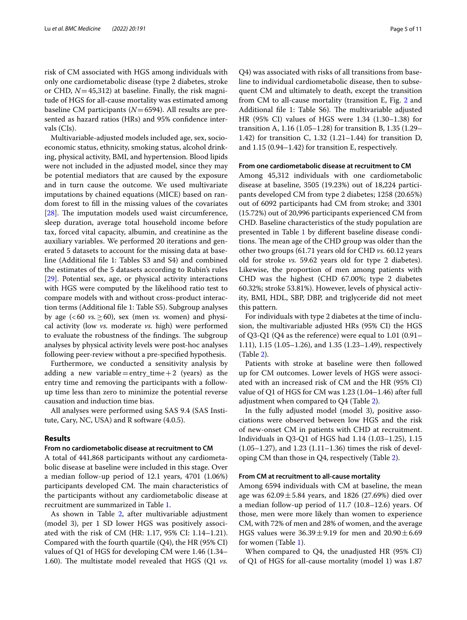risk of CM associated with HGS among individuals with only one cardiometabolic disease (type 2 diabetes, stroke or CHD, *N*=45,312) at baseline. Finally, the risk magnitude of HGS for all-cause mortality was estimated among baseline CM participants (*N*=6594). All results are presented as hazard ratios (HRs) and 95% confdence intervals (CIs).

Multivariable-adjusted models included age, sex, socioeconomic status, ethnicity, smoking status, alcohol drinking, physical activity, BMI, and hypertension. Blood lipids were not included in the adjusted model, since they may be potential mediators that are caused by the exposure and in turn cause the outcome. We used multivariate imputations by chained equations (MICE) based on random forest to fll in the missing values of the covariates [[28\]](#page-9-14). The imputation models used waist circumference, sleep duration, average total household income before tax, forced vital capacity, albumin, and creatinine as the auxiliary variables. We performed 20 iterations and generated 5 datasets to account for the missing data at baseline (Additional fle 1: Tables S3 and S4) and combined the estimates of the 5 datasets according to Rubin's rules [[29\]](#page-9-15). Potential sex, age, or physical activity interactions with HGS were computed by the likelihood ratio test to compare models with and without cross-product interaction terms (Additional fle 1: Table S5). Subgroup analyses by age (<60  $vs. \ge 60$ ), sex (men *vs.* women) and physical activity (low *vs.* moderate *vs.* high) were performed to evaluate the robustness of the findings. The subgroup analyses by physical activity levels were post-hoc analyses following peer-review without a pre-specifed hypothesis.

Furthermore, we conducted a sensitivity analysis by adding a new variable  $=$  entry\_time  $+2$  (years) as the entry time and removing the participants with a followup time less than zero to minimize the potential reverse causation and induction time bias.

All analyses were performed using SAS 9.4 (SAS Institute, Cary, NC, USA) and R software (4.0.5).

#### **Results**

#### **From no cardiometabolic disease at recruitment to CM**

A total of 441,868 participants without any cardiometabolic disease at baseline were included in this stage. Over a median follow-up period of 12.1 years, 4701 (1.06%) participants developed CM. The main characteristics of the participants without any cardiometabolic disease at recruitment are summarized in Table [1](#page-5-0).

As shown in Table [2,](#page-6-0) after multivariable adjustment (model 3), per 1 SD lower HGS was positively associated with the risk of CM (HR: 1.17, 95% CI: 1.14–1.21). Compared with the fourth quartile (Q4), the HR (95% CI) values of Q1 of HGS for developing CM were 1.46 (1.34– 1.60). The multistate model revealed that HGS  $(Q1 \text{ vs.}$ 

Q4) was associated with risks of all transitions from baseline to individual cardiometabolic disease, then to subsequent CM and ultimately to death, except the transition from CM to all-cause mortality (transition E, Fig. [2](#page-3-0) and Additional file 1: Table S6). The multivariable adjusted HR (95% CI) values of HGS were 1.34 (1.30–1.38) for transition A, 1.16 (1.05–1.28) for transition B, 1.35 (1.29– 1.42) for transition C, 1.32 (1.21–1.44) for transition D, and 1.15 (0.94–1.42) for transition E, respectively.

#### **From one cardiometabolic disease at recruitment to CM**

Among 45,312 individuals with one cardiometabolic disease at baseline, 3505 (19.23%) out of 18,224 participants developed CM from type 2 diabetes; 1258 (20.65%) out of 6092 participants had CM from stroke; and 3301 (15.72%) out of 20,996 participants experienced CM from CHD. Baseline characteristics of the study population are presented in Table [1](#page-5-0) by diferent baseline disease conditions. The mean age of the CHD group was older than the other two groups (61.71 years old for CHD *vs.* 60.12 years old for stroke *vs.* 59.62 years old for type 2 diabetes). Likewise, the proportion of men among patients with CHD was the highest (CHD 67.00%; type 2 diabetes 60.32%; stroke 53.81%). However, levels of physical activity, BMI, HDL, SBP, DBP, and triglyceride did not meet this pattern.

For individuals with type 2 diabetes at the time of inclusion, the multivariable adjusted HRs (95% CI) the HGS of Q3-Q1 (Q4 as the reference) were equal to 1.01 (0.91– 1.11), 1.15 (1.05–1.26), and 1.35 (1.23–1.49), respectively (Table [2\)](#page-6-0).

Patients with stroke at baseline were then followed up for CM outcomes. Lower levels of HGS were associated with an increased risk of CM and the HR (95% CI) value of Q1 of HGS for CM was 1.23 (1.04–1.46) after full adjustment when compared to Q4 (Table [2](#page-6-0)).

In the fully adjusted model (model 3), positive associations were observed between low HGS and the risk of new-onset CM in patients with CHD at recruitment. Individuals in Q3-Q1 of HGS had 1.14 (1.03–1.25), 1.15 (1.05–1.27), and 1.23 (1.11–1.36) times the risk of developing CM than those in Q4, respectively (Table [2\)](#page-6-0).

#### **From CM at recruitment to all‑cause mortality**

Among 6594 individuals with CM at baseline, the mean age was  $62.09 \pm 5.84$  years, and 1826 (27.69%) died over a median follow-up period of 11.7 (10.8–12.6) years. Of those, men were more likely than women to experience CM, with 72% of men and 28% of women, and the average HGS values were  $36.39 \pm 9.19$  for men and  $20.90 \pm 6.69$ for women (Table [1](#page-5-0)).

When compared to Q4, the unadjusted HR (95% CI) of Q1 of HGS for all-cause mortality (model 1) was 1.87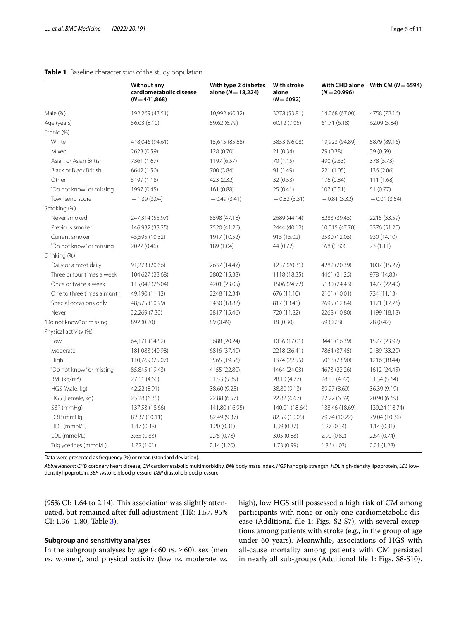<span id="page-5-0"></span>

|                               | <b>Without any</b><br>cardiometabolic disease<br>$(N = 441, 868)$ | With type 2 diabetes<br>alone ( $N = 18,224$ ) | With stroke<br>alone<br>$(N = 6092)$ | With CHD alone<br>$(N=20,996)$ | With CM ( $N = 6594$ ) |
|-------------------------------|-------------------------------------------------------------------|------------------------------------------------|--------------------------------------|--------------------------------|------------------------|
| Male (%)                      | 192,269 (43.51)                                                   | 10,992 (60.32)                                 | 3278 (53.81)                         | 14,068 (67.00)                 | 4758 (72.16)           |
| Age (years)                   | 56.03 (8.10)                                                      | 59.62 (6.99)                                   | 60.12 (7.05)                         | 61.71 (6.18)                   | 62.09 (5.84)           |
| Ethnic (%)                    |                                                                   |                                                |                                      |                                |                        |
| White                         | 418,046 (94.61)                                                   | 15,615 (85.68)                                 | 5853 (96.08)                         | 19,923 (94.89)                 | 5879 (89.16)           |
| Mixed                         | 2623 (0.59)                                                       | 128 (0.70)                                     | 21(0.34)                             | 79 (0.38)                      | 39 (0.59)              |
| Asian or Asian British        | 7361 (1.67)                                                       | 1197 (6.57)                                    | 70(1.15)                             | 490 (2.33)                     | 378 (5.73)             |
| <b>Black or Black British</b> | 6642 (1.50)                                                       | 700 (3.84)                                     | 91 (1.49)                            | 221 (1.05)                     | 136 (2.06)             |
| Other                         | 5199 (1.18)                                                       | 423 (2.32)                                     | 32 (0.53)                            | 176 (0.84)                     | 111 (1.68)             |
| "Do not know" or missing      | 1997 (0.45)                                                       | 161 (0.88)                                     | 25 (0.41)                            | 107(0.51)                      | 51 (0.77)              |
| Townsend score                | $-1.39(3.04)$                                                     | $-0.49(3.41)$                                  | $-0.82(3.31)$                        | $-0.81(3.32)$                  | $-0.01(3.54)$          |
| Smoking (%)                   |                                                                   |                                                |                                      |                                |                        |
| Never smoked                  | 247,314 (55.97)                                                   | 8598 (47.18)                                   | 2689 (44.14)                         | 8283 (39.45)                   | 2215 (33.59)           |
| Previous smoker               | 146,932 (33.25)                                                   | 7520 (41.26)                                   | 2444 (40.12)                         | 10,015 (47.70)                 | 3376 (51.20)           |
| Current smoker                | 45,595 (10.32)                                                    | 1917 (10.52)                                   | 915 (15.02)                          | 2530 (12.05)                   | 930 (14.10)            |
| "Do not know" or missing      | 2027 (0.46)                                                       | 189 (1.04)                                     | 44 (0.72)                            | 168 (0.80)                     | 73 (1.11)              |
| Drinking (%)                  |                                                                   |                                                |                                      |                                |                        |
| Daily or almost daily         | 91,273 (20.66)                                                    | 2637 (14.47)                                   | 1237 (20.31)                         | 4282 (20.39)                   | 1007 (15.27)           |
| Three or four times a week    | 104,627 (23.68)                                                   | 2802 (15.38)                                   | 1118 (18.35)                         | 4461 (21.25)                   | 978 (14.83)            |
| Once or twice a week          | 115,042 (26.04)                                                   | 4201 (23.05)                                   | 1506 (24.72)                         | 5130 (24.43)                   | 1477 (22.40)           |
| One to three times a month    | 49,190 (11.13)                                                    | 2248 (12.34)                                   | 676 (11.10)                          | 2101 (10.01)                   | 734 (11.13)            |
| Special occasions only        | 48,575 (10.99)                                                    | 3430 (18.82)                                   | 817 (13.41)                          | 2695 (12.84)                   | 1171 (17.76)           |
| Never                         | 32,269 (7.30)                                                     | 2817 (15.46)                                   | 720 (11.82)                          | 2268 (10.80)                   | 1199 (18.18)           |
| "Do not know" or missing      | 892 (0.20)                                                        | 89 (0.49)                                      | 18 (0.30)                            | 59 (0.28)                      | 28 (0.42)              |
| Physical activity (%)         |                                                                   |                                                |                                      |                                |                        |
| Low                           | 64,171 (14.52)                                                    | 3688 (20.24)                                   | 1036 (17.01)                         | 3441 (16.39)                   | 1577 (23.92)           |
| Moderate                      | 181,083 (40.98)                                                   | 6816 (37.40)                                   | 2218 (36.41)                         | 7864 (37.45)                   | 2189 (33.20)           |
| High                          | 110,769 (25.07)                                                   | 3565 (19.56)                                   | 1374 (22.55)                         | 5018 (23.90)                   | 1216 (18.44)           |
| "Do not know" or missing      | 85,845 (19.43)                                                    | 4155 (22.80)                                   | 1464 (24.03)                         | 4673 (22.26)                   | 1612 (24.45)           |
| BMI ( $kg/m2$ )               | 27.11 (4.60)                                                      | 31.53 (5.89)                                   | 28.10 (4.77)                         | 28.83 (4.77)                   | 31.34 (5.64)           |
| HGS (Male, kg)                | 42.22 (8.91)                                                      | 38.60 (9.25)                                   | 38.80 (9.13)                         | 39.27 (8.69)                   | 36.39 (9.19)           |
| HGS (Female, kg)              | 25.28 (6.35)                                                      | 22.88 (6.57)                                   | 22.82 (6.67)                         | 22.22 (6.39)                   | 20.90 (6.69)           |
| SBP (mmHq)                    | 137.53 (18.66)                                                    | 141.80 (16.95)                                 | 140.01 (18.64)                       | 138.46 (18.69)                 | 139.24 (18.74)         |
| DBP (mmHg)                    | 82.37 (10.11)                                                     | 82.49 (9.37)                                   | 82.59 (10.05)                        | 79.74 (10.22)                  | 79.04 (10.36)          |
| HDL (mmol/L)                  | 1.47(0.38)                                                        | 1.20(0.31)                                     | 1.39(0.37)                           | 1.27(0.34)                     | 1.14(0.31)             |
| LDL (mmol/L)                  | 3.65 (0.83)                                                       | 2.75(0.78)                                     | 3.05(0.88)                           | 2.90(0.82)                     | 2.64(0.74)             |
| Triglycerides (mmol/L)        | 1.72(1.01)                                                        | 2.14(1.20)                                     | 1.73(0.99)                           | 1.86(1.03)                     | 2.21(1.28)             |

Data were presented as frequency (%) or mean (standard deviation).

*Abbreviations*: *CHD* coronary heart disease, *CM* cardiometabolic multimorbidity, *BMI* body mass index, *HGS* handgrip strength, *HDL* high-density lipoprotein, *LDL* lowdensity lipoprotein, *SBP* systolic blood pressure, *DBP* diastolic blood pressure

(95% CI: 1.64 to 2.14). This association was slightly attenuated, but remained after full adjustment (HR: 1.57, 95% CI: 1.36–1.80; Table [3](#page-6-1)).

#### **Subgroup and sensitivity analyses**

In the subgroup analyses by age ( $<60$  *vs.* $\geq$  60), sex (men *vs.* women), and physical activity (low *vs.* moderate *vs.* high), low HGS still possessed a high risk of CM among participants with none or only one cardiometabolic disease (Additional fle 1: Figs. S2-S7), with several exceptions among patients with stroke (e.g., in the group of age under 60 years). Meanwhile, associations of HGS with all-cause mortality among patients with CM persisted in nearly all sub-groups (Additional fle 1: Figs. S8-S10).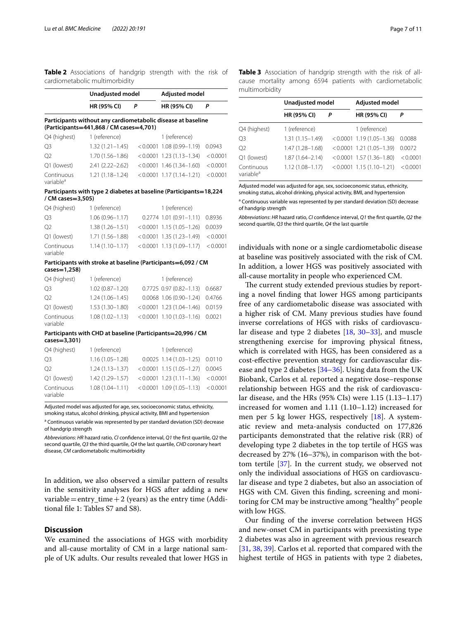<span id="page-6-0"></span>**Table 2** Associations of handgrip strength with the risk of cardiometabolic multimorbidity

|                                                                                         | Unadjusted model                                                                                        |          | <b>Adjusted model</b>                      |                  |  |  |  |  |
|-----------------------------------------------------------------------------------------|---------------------------------------------------------------------------------------------------------|----------|--------------------------------------------|------------------|--|--|--|--|
|                                                                                         | HR (95% CI)                                                                                             | P        | HR (95% CI)                                | P                |  |  |  |  |
|                                                                                         | Participants without any cardiometabolic disease at baseline<br>(Participants=441,868 / CM cases=4,701) |          |                                            |                  |  |  |  |  |
| Q4 (highest)                                                                            | 1 (reference)                                                                                           |          | 1 (reference)                              |                  |  |  |  |  |
| O <sub>3</sub>                                                                          | $1.32(1.21 - 1.45)$                                                                                     | < 0.0001 | $1.08(0.99 - 1.19)$                        | 0.0943           |  |  |  |  |
| O <sub>2</sub>                                                                          | $1.70(1.56 - 1.86)$                                                                                     | < 0.0001 | $1.23(1.13 - 1.34)$                        | < 0.0001         |  |  |  |  |
| Q1 (lowest)                                                                             | $2.41(2.22 - 2.62)$                                                                                     |          | $< 0.0001$ 1.46 (1.34-1.60)                | < 0.0001         |  |  |  |  |
| Continuous<br>variable <sup>a</sup>                                                     | $1.21(1.18 - 1.24)$                                                                                     |          | $< 0.0001$ 1.17 (1.14-1.21)                | < 0.0001         |  |  |  |  |
| Participants with type 2 diabetes at baseline (Participants=18,224<br>/ CM cases=3,505) |                                                                                                         |          |                                            |                  |  |  |  |  |
| Q4 (highest)                                                                            | 1 (reference)                                                                                           |          | 1 (reference)                              |                  |  |  |  |  |
| O3                                                                                      | $1.06(0.96 - 1.17)$                                                                                     |          | $0.2774$ 1.01 (0.91-1.11)                  | 0.8936           |  |  |  |  |
| O <sub>2</sub>                                                                          | $1.38(1.26 - 1.51)$                                                                                     |          | $< 0.0001$ 1.15 (1.05-1.26)                | 0.0039           |  |  |  |  |
| Q1 (lowest)                                                                             | $1.71(1.56 - 1.88)$                                                                                     |          | $< 0.0001$ 1.35 (1.23-1.49)                | < 0.0001         |  |  |  |  |
| Continuous<br>variable                                                                  | $1.14(1.10 - 1.17)$                                                                                     |          | $< 0.0001$ 1.13 (1.09-1.17)                | < 0.0001         |  |  |  |  |
|                                                                                         | Participants with stroke at baseline (Participants=6,092 / CM                                           |          |                                            |                  |  |  |  |  |
| cases=1,258)                                                                            |                                                                                                         |          |                                            |                  |  |  |  |  |
| Q4 (highest)                                                                            | 1 (reference)<br>$1.02(0.87 - 1.20)$                                                                    |          | 1 (reference)<br>$0.7725$ 0.97 (0.82-1.13) |                  |  |  |  |  |
| Q <sub>3</sub>                                                                          |                                                                                                         |          |                                            | 0.6687           |  |  |  |  |
| Ο2                                                                                      | $1.24(1.06 - 1.45)$                                                                                     |          | $0.0068$ 1.06 (0.90-1.24)                  | 0.4766           |  |  |  |  |
| Q1 (lowest)<br>Continuous                                                               | $1.53(1.30 - 1.80)$                                                                                     |          | $< 0.0001$ 1.23 (1.04-1.46)                | 0.0159<br>0.0021 |  |  |  |  |
| variable                                                                                | $1.08(1.02 - 1.13)$                                                                                     |          | $< 0.0001$ 1.10 (1.03-1.16)                |                  |  |  |  |  |
| cases=3,301)                                                                            | Participants with CHD at baseline (Participants=20,996 / CM                                             |          |                                            |                  |  |  |  |  |
| Q4 (highest)                                                                            | 1 (reference)                                                                                           |          | 1 (reference)                              |                  |  |  |  |  |
| O3                                                                                      | $1.16(1.05 - 1.28)$                                                                                     |          | $0.0025$ 1.14 (1.03-1.25)                  | 0.0110           |  |  |  |  |
| O <sub>2</sub>                                                                          | $1.24(1.13 - 1.37)$                                                                                     | < 0.0001 | $1.15(1.05 - 1.27)$                        | 0.0045           |  |  |  |  |
| Q1 (lowest)                                                                             | 1.42 (1.29-1.57)                                                                                        | < 0.0001 | $1.23(1.11 - 1.36)$                        | < 0.0001         |  |  |  |  |
| Continuous<br>variable                                                                  | $1.08(1.04 - 1.11)$                                                                                     | < 0.0001 | $1.09(1.05 - 1.13)$                        | < 0.0001         |  |  |  |  |

Adjusted model was adjusted for age, sex, socioeconomic status, ethnicity, smoking status, alcohol drinking, physical activity, BMI and hypertension

<sup>a</sup> Continuous variable was represented by per standard deviation (SD) decrease of handgrip strength

*Abbreviations*: *HR* hazard ratio, *CI* confdence interval, *Q1* the frst quartile, *Q2* the second quartile, *Q3* the third quartile, *Q4* the last quartile, *CHD* coronary heart disease, *CM* cardiometabolic multimorbidity

In addition, we also observed a similar pattern of results in the sensitivity analyses for HGS after adding a new variable = entry\_time  $+2$  (years) as the entry time (Additional fle 1: Tables S7 and S8).

#### **Discussion**

We examined the associations of HGS with morbidity and all-cause mortality of CM in a large national sample of UK adults. Our results revealed that lower HGS in <span id="page-6-1"></span>**Table 3** Association of handgrip strength with the risk of allcause mortality among 6594 patients with cardiometabolic multimorbidity

|                                     | Unadjusted model    |   | <b>Adjusted model</b>       |          |  |
|-------------------------------------|---------------------|---|-----------------------------|----------|--|
|                                     | <b>HR (95% CI)</b>  | Р | HR (95% CI)                 | P        |  |
| Q4 (highest)                        | 1 (reference)       |   | 1 (reference)               |          |  |
| Q <sub>3</sub>                      | $1.31(1.15 - 1.49)$ |   | $< 0.0001$ 1.19 (1.05-1.36) | 0.0088   |  |
| O <sub>2</sub>                      | 1.47 (1.28-1.68)    |   | $< 0.0001$ 1.21 (1.05-1.39) | 0.0072   |  |
| Q1 (lowest)                         | $1.87(1.64 - 2.14)$ |   | $< 0.0001$ 1.57 (1.36-1.80) | < 0.0001 |  |
| Continuous<br>variable <sup>a</sup> | $1.12(1.08 - 1.17)$ |   | $< 0.0001$ 1.15 (1.10-1.21) | < 0.0001 |  |

Adjusted model was adjusted for age, sex, socioeconomic status, ethnicity, smoking status, alcohol drinking, physical activity, BMI, and hypertension

<sup>a</sup> Continuous variable was represented by per standard deviation (SD) decrease of handgrip strength

*Abbreviations*: *HR* hazard ratio, *CI* confdence interval, *Q1* the frst quartile, *Q2* the second quartile, *Q3* the third quartile, *Q4* the last quartile

individuals with none or a single cardiometabolic disease at baseline was positively associated with the risk of CM. In addition, a lower HGS was positively associated with all-cause mortality in people who experienced CM.

The current study extended previous studies by reporting a novel fnding that lower HGS among participants free of any cardiometabolic disease was associated with a higher risk of CM. Many previous studies have found inverse correlations of HGS with risks of cardiovascular disease and type 2 diabetes [[18,](#page-9-4) [30](#page-9-16)[–33](#page-9-17)], and muscle strengthening exercise for improving physical ftness, which is correlated with HGS, has been considered as a cost-efective prevention strategy for cardiovascular disease and type 2 diabetes [\[34–](#page-9-18)[36\]](#page-9-19). Using data from the UK Biobank, Carlos et al. reported a negative dose–response relationship between HGS and the risk of cardiovascular disease, and the HRs (95% CIs) were 1.15 (1.13–1.17) increased for women and 1.11 (1.10–1.12) increased for men per 5 kg lower HGS, respectively [\[18](#page-9-4)]. A systematic review and meta-analysis conducted on 177,826 participants demonstrated that the relative risk (RR) of developing type 2 diabetes in the top tertile of HGS was decreased by 27% (16–37%), in comparison with the bottom tertile [[37\]](#page-9-20). In the current study, we observed not only the individual associations of HGS on cardiovascular disease and type 2 diabetes, but also an association of HGS with CM. Given this fnding, screening and monitoring for CM may be instructive among "healthy" people with low HGS.

Our fnding of the inverse correlation between HGS and new-onset CM in participants with preexisting type 2 diabetes was also in agreement with previous research [[31,](#page-9-21) [38](#page-9-22), [39\]](#page-9-23). Carlos et al. reported that compared with the highest tertile of HGS in patients with type 2 diabetes,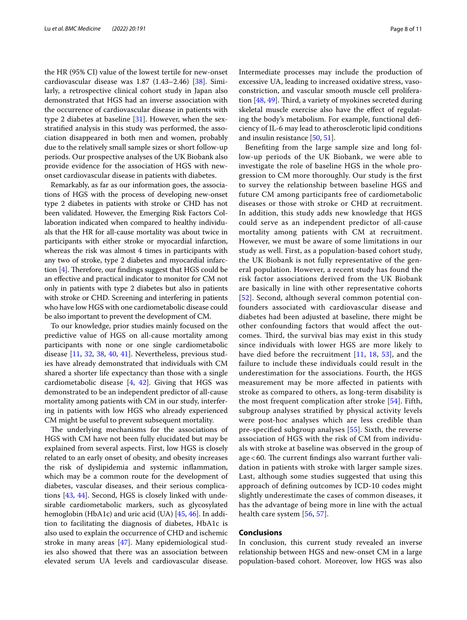the HR (95% CI) value of the lowest tertile for new-onset cardiovascular disease was 1.87 (1.43–2.46) [[38\]](#page-9-22). Similarly, a retrospective clinical cohort study in Japan also demonstrated that HGS had an inverse association with the occurrence of cardiovascular disease in patients with type 2 diabetes at baseline [[31](#page-9-21)]. However, when the sexstratifed analysis in this study was performed, the association disappeared in both men and women, probably due to the relatively small sample sizes or short follow-up periods. Our prospective analyses of the UK Biobank also provide evidence for the association of HGS with newonset cardiovascular disease in patients with diabetes.

Remarkably, as far as our information goes, the associations of HGS with the process of developing new-onset type 2 diabetes in patients with stroke or CHD has not been validated. However, the Emerging Risk Factors Collaboration indicated when compared to healthy individuals that the HR for all-cause mortality was about twice in participants with either stroke or myocardial infarction, whereas the risk was almost 4 times in participants with any two of stroke, type 2 diabetes and myocardial infarction  $[4]$  $[4]$ . Therefore, our findings suggest that HGS could be an efective and practical indicator to monitor for CM not only in patients with type 2 diabetes but also in patients with stroke or CHD. Screening and interfering in patients who have low HGS with one cardiometabolic disease could be also important to prevent the development of CM.

To our knowledge, prior studies mainly focused on the predictive value of HGS on all-cause mortality among participants with none or one single cardiometabolic disease [\[11](#page-8-8), [32,](#page-9-24) [38,](#page-9-22) [40](#page-9-25), [41\]](#page-9-26). Nevertheless, previous studies have already demonstrated that individuals with CM shared a shorter life expectancy than those with a single cardiometabolic disease  $[4, 42]$  $[4, 42]$  $[4, 42]$ . Giving that HGS was demonstrated to be an independent predictor of all-cause mortality among patients with CM in our study, interfering in patients with low HGS who already experienced CM might be useful to prevent subsequent mortality.

The underlying mechanisms for the associations of HGS with CM have not been fully elucidated but may be explained from several aspects. First, low HGS is closely related to an early onset of obesity, and obesity increases the risk of dyslipidemia and systemic infammation, which may be a common route for the development of diabetes, vascular diseases, and their serious complications [\[43](#page-9-28), [44\]](#page-9-29). Second, HGS is closely linked with undesirable cardiometabolic markers, such as glycosylated hemoglobin (HbA1c) and uric acid (UA) [\[45](#page-9-30), [46\]](#page-9-31). In addition to facilitating the diagnosis of diabetes, HbA1c is also used to explain the occurrence of CHD and ischemic stroke in many areas [\[47](#page-9-32)]. Many epidemiological studies also showed that there was an association between elevated serum UA levels and cardiovascular disease.

Intermediate processes may include the production of excessive UA, leading to increased oxidative stress, vasoconstriction, and vascular smooth muscle cell proliferation  $[48, 49]$  $[48, 49]$  $[48, 49]$  $[48, 49]$ . Third, a variety of myokines secreted during skeletal muscle exercise also have the efect of regulating the body's metabolism. For example, functional defciency of IL-6 may lead to atherosclerotic lipid conditions and insulin resistance [\[50](#page-9-35), [51\]](#page-10-0).

Benefting from the large sample size and long follow-up periods of the UK Biobank, we were able to investigate the role of baseline HGS in the whole progression to CM more thoroughly. Our study is the frst to survey the relationship between baseline HGS and future CM among participants free of cardiometabolic diseases or those with stroke or CHD at recruitment. In addition, this study adds new knowledge that HGS could serve as an independent predictor of all-cause mortality among patients with CM at recruitment. However, we must be aware of some limitations in our study as well. First, as a population-based cohort study, the UK Biobank is not fully representative of the general population. However, a recent study has found the risk factor associations derived from the UK Biobank are basically in line with other representative cohorts [[52](#page-10-1)]. Second, although several common potential confounders associated with cardiovascular disease and diabetes had been adjusted at baseline, there might be other confounding factors that would afect the outcomes. Third, the survival bias may exist in this study since individuals with lower HGS are more likely to have died before the recruitment [[11,](#page-8-8) [18,](#page-9-4) [53\]](#page-10-2), and the failure to include these individuals could result in the underestimation for the associations. Fourth, the HGS measurement may be more afected in patients with stroke as compared to others, as long-term disability is the most frequent complication after stroke [[54\]](#page-10-3). Fifth, subgroup analyses stratifed by physical activity levels were post-hoc analyses which are less credible than pre-specifed subgroup analyses [\[55](#page-10-4)]. Sixth, the reverse association of HGS with the risk of CM from individuals with stroke at baseline was observed in the group of age  $<$  60. The current findings also warrant further validation in patients with stroke with larger sample sizes. Last, although some studies suggested that using this approach of defning outcomes by ICD-10 codes might slightly underestimate the cases of common diseases, it has the advantage of being more in line with the actual health care system [[56,](#page-10-5) [57\]](#page-10-6).

#### **Conclusions**

In conclusion, this current study revealed an inverse relationship between HGS and new-onset CM in a large population-based cohort. Moreover, low HGS was also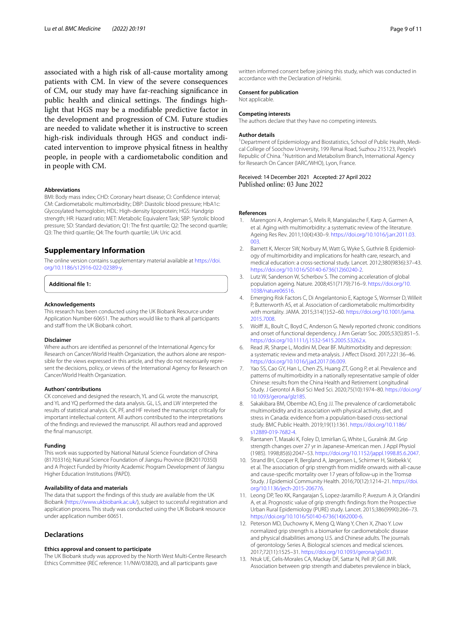associated with a high risk of all-cause mortality among patients with CM. In view of the severe consequences of CM, our study may have far-reaching signifcance in public health and clinical settings. The findings highlight that HGS may be a modifable predictive factor in the development and progression of CM. Future studies are needed to validate whether it is instructive to screen high-risk individuals through HGS and conduct indicated intervention to improve physical ftness in healthy people, in people with a cardiometabolic condition and in people with CM.

#### **Abbreviations**

BMI: Body mass index; CHD: Coronary heart disease; CI: Confdence interval; CM: Cardiometabolic multimorbidity; DBP: Diastolic blood pressure; HbA1c: Glycosylated hemoglobin; HDL: High-density lipoprotein; HGS: Handgrip strength; HR: Hazard ratio; MET: Metabolic Equivalent Task; SBP: Systolic blood pressure; SD: Standard deviation; Q1: The frst quartile; Q2: The second quartile; Q3: The third quartile; Q4: The fourth quartile; UA: Uric acid.

#### **Supplementary Information**

The online version contains supplementary material available at [https://doi.](https://doi.org/10.1186/s12916-022-02389-y) [org/10.1186/s12916-022-02389-y.](https://doi.org/10.1186/s12916-022-02389-y)

**Additional fle 1:**

#### **Acknowledgements**

This research has been conducted using the UK Biobank Resource under Application Number 60651. The authors would like to thank all participants and staff from the UK Biobank cohort.

#### **Disclaimer**

Where authors are identifed as personnel of the International Agency for Research on Cancer/World Health Organization, the authors alone are responsible for the views expressed in this article, and they do not necessarily represent the decisions, policy, or views of the International Agency for Research on Cancer/World Health Organization.

#### **Authors' contributions**

CK conceived and designed the research, YL and GL wrote the manuscript, and YL and YQ performed the data analysis. GL, LS, and LW interpreted the results of statistical analysis. CK, PF, and HF revised the manuscript critically for important intellectual content. All authors contributed to the interpretations of the fndings and reviewed the manuscript. All authors read and approved the fnal manuscript.

#### **Funding**

This work was supported by National Natural Science Foundation of China (81703316); Natural Science Foundation of Jiangsu Province (BK20170350) and A Project Funded by Priority Academic Program Development of Jiangsu Higher Education Institutions (PAPD).

#### **Availability of data and materials**

The data that support the fndings of this study are available from the UK Biobank [\(https://www.ukbiobank.ac.uk/\)](https://www.ukbiobank.ac.uk/), subject to successful registration and application process. This study was conducted using the UK Biobank resource under application number 60651.

#### **Declarations**

#### **Ethics approval and consent to participate**

The UK Biobank study was approved by the North West Multi-Centre Research Ethics Committee (REC reference: 11/NW/03820), and all participants gave

written informed consent before joining this study, which was conducted in accordance with the Declaration of Helsinki.

#### **Consent for publication**

Not applicable.

#### **Competing interests**

The authors declare that they have no competing interests.

#### **Author details**

<sup>1</sup> Department of Epidemiology and Biostatistics, School of Public Health, Medical College of Soochow University, 199 Renai Road, Suzhou 215123, People's Republic of China. <sup>2</sup> Nutrition and Metabolism Branch, International Agency for Research On Cancer (IARC/WHO), Lyon, France.

# Received: 14 December 2021 Accepted: 27 April 2022

#### **References**

- <span id="page-8-0"></span>1. Marengoni A, Angleman S, Melis R, Mangialasche F, Karp A, Garmen A, et al. Aging with multimorbidity: a systematic review of the literature. Ageing Res Rev. 2011;10(4):430–9. [https://doi.org/10.1016/j.arr.2011.03.](https://doi.org/10.1016/j.arr.2011.03.003) [003.](https://doi.org/10.1016/j.arr.2011.03.003)
- 2. Barnett K, Mercer SW, Norbury M, Watt G, Wyke S, Guthrie B. Epidemiology of multimorbidity and implications for health care, research, and medical education: a cross-sectional study. Lancet. 2012;380(9836):37–43. [https://doi.org/10.1016/S0140-6736\(12\)60240-2](https://doi.org/10.1016/S0140-6736(12)60240-2).
- <span id="page-8-1"></span>3. Lutz W, Sanderson W, Scherbov S. The coming acceleration of global population ageing. Nature. 2008;451(7179):716–9. [https://doi.org/10.](https://doi.org/10.1038/nature06516) [1038/nature06516.](https://doi.org/10.1038/nature06516)
- <span id="page-8-2"></span>4. Emerging Risk Factors C, Di Angelantonio E, Kaptoge S, Wormser D, Willeit P, Butterworth AS, et al. Association of cardiometabolic multimorbidity with mortality. JAMA. 2015;314(1):52–60. [https://doi.org/10.1001/jama.](https://doi.org/10.1001/jama.2015.7008) [2015.7008](https://doi.org/10.1001/jama.2015.7008).
- 5. Wolf JL, Boult C, Boyd C, Anderson G. Newly reported chronic conditions and onset of functional dependency. J Am Geriatr Soc. 2005;53(5):851–5. [https://doi.org/10.1111/j.1532-5415.2005.53262.x.](https://doi.org/10.1111/j.1532-5415.2005.53262.x)
- <span id="page-8-3"></span>6. Read JR, Sharpe L, Modini M, Dear BF. Multimorbidity and depression: a systematic review and meta-analysis. J Afect Disord. 2017;221:36–46. <https://doi.org/10.1016/j.jad.2017.06.009>.
- <span id="page-8-4"></span>7. Yao SS, Cao GY, Han L, Chen ZS, Huang ZT, Gong P, et al. Prevalence and patterns of multimorbidity in a nationally representative sample of older Chinese: results from the China Health and Retirement Longitudinal Study. J Gerontol A Biol Sci Med Sci. 2020;75(10):1974–80. [https://doi.org/](https://doi.org/10.1093/gerona/glz185) [10.1093/gerona/glz185](https://doi.org/10.1093/gerona/glz185).
- <span id="page-8-5"></span>8. Sakakibara BM, Obembe AO, Eng JJ. The prevalence of cardiometabolic multimorbidity and its association with physical activity, diet, and stress in Canada: evidence from a population-based cross-sectional study. BMC Public Health. 2019;19(1):1361. [https://doi.org/10.1186/](https://doi.org/10.1186/s12889-019-7682-4) [s12889-019-7682-4.](https://doi.org/10.1186/s12889-019-7682-4)
- <span id="page-8-6"></span>9. Rantanen T, Masaki K, Foley D, Izmirlian G, White L, Guralnik JM. Grip strength changes over 27 yr in Japanese-American men. J Appl Physiol (1985). 1998;85(6):2047–53. <https://doi.org/10.1152/jappl.1998.85.6.2047>.
- <span id="page-8-7"></span>10. Strand BH, Cooper R, Bergland A, Jørgensen L, Schirmer H, Skirbekk V, et al. The association of grip strength from midlife onwards with all-cause and cause-specifc mortality over 17 years of follow-up in the Tromsø Study. J Epidemiol Community Health. 2016;70(12):1214–21. [https://doi.](https://doi.org/10.1136/jech-2015-206776) [org/10.1136/jech-2015-206776](https://doi.org/10.1136/jech-2015-206776).
- <span id="page-8-8"></span>11. Leong DP, Teo KK, Rangarajan S, Lopez-Jaramillo P, Avezum A Jr, Orlandini A, et al. Prognostic value of grip strength: fndings from the Prospective Urban Rural Epidemiology (PURE) study. Lancet. 2015;386(9990):266–73. [https://doi.org/10.1016/S0140-6736\(14\)62000-6](https://doi.org/10.1016/S0140-6736(14)62000-6).
- <span id="page-8-9"></span>12. Peterson MD, Duchowny K, Meng Q, Wang Y, Chen X, Zhao Y. Low normalized grip strength is a biomarker for cardiometabolic disease and physical disabilities among U.S. and Chinese adults. The journals of gerontology Series A, Biological sciences and medical sciences. 2017;72(11):1525–31. [https://doi.org/10.1093/gerona/glx031.](https://doi.org/10.1093/gerona/glx031)
- 13. Ntuk UE, Celis-Morales CA, Mackay DF, Sattar N, Pell JP, Gill JMR. Association between grip strength and diabetes prevalence in black,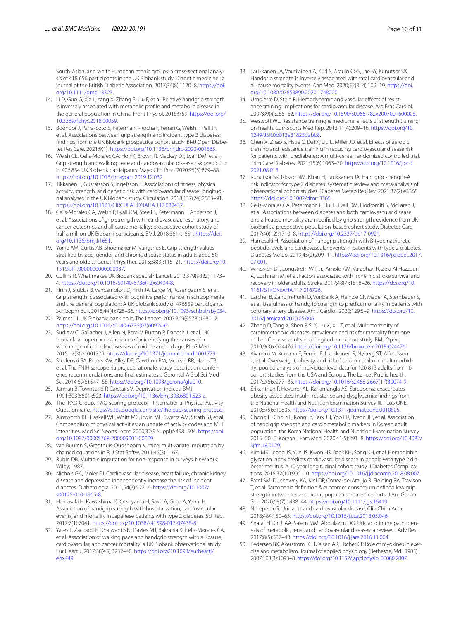South-Asian, and white European ethnic groups: a cross-sectional analysis of 418 656 participants in the UK Biobank study. Diabetic medicine : a journal of the British Diabetic Association. 2017;34(8):1120–8. [https://doi.](https://doi.org/10.1111/dme.13323) [org/10.1111/dme.13323.](https://doi.org/10.1111/dme.13323)

- <span id="page-9-0"></span>14. Li D, Guo G, Xia L, Yang X, Zhang B, Liu F, et al. Relative handgrip strength is inversely associated with metabolic profle and metabolic disease in the general population in China. Front Physiol. 2018;9:59. [https://doi.org/](https://doi.org/10.3389/fphys.2018.00059) [10.3389/fphys.2018.00059](https://doi.org/10.3389/fphys.2018.00059).
- <span id="page-9-1"></span>15. Boonpor J, Parra-Soto S, Petermann-Rocha F, Ferrari G, Welsh P, Pell JP, et al. Associations between grip strength and incident type 2 diabetes: fndings from the UK Biobank prospective cohort study. BMJ Open Diabetes Res Care. 2021;9(1). [https://doi.org/10.1136/bmjdrc-2020-001865.](https://doi.org/10.1136/bmjdrc-2020-001865)
- <span id="page-9-3"></span>16. Welsh CE, Celis-Morales CA, Ho FK, Brown R, Mackay DF, Lyall DM, et al. Grip strength and walking pace and cardiovascular disease risk prediction in 406,834 UK Biobank participants. Mayo Clin Proc. 2020;95(5):879–88. <https://doi.org/10.1016/j.mayocp.2019.12.032>.
- <span id="page-9-2"></span>17. Tikkanen E, Gustafsson S, Ingelsson E. Associations of ftness, physical activity, strength, and genetic risk with cardiovascular disease: longitudinal analyses in the UK Biobank study. Circulation. 2018;137(24):2583–91. <https://doi.org/10.1161/CIRCULATIONAHA.117.032432>.
- <span id="page-9-4"></span>18. Celis-Morales CA, Welsh P, Lyall DM, Steell L, Petermann F, Anderson J, et al. Associations of grip strength with cardiovascular, respiratory, and cancer outcomes and all cause mortality: prospective cohort study of half a million UK Biobank participants. BMJ. 2018;361:k1651. [https://doi.](https://doi.org/10.1136/bmj.k1651) [org/10.1136/bmj.k1651](https://doi.org/10.1136/bmj.k1651).
- <span id="page-9-5"></span>19. Yorke AM, Curtis AB, Shoemaker M, Vangsnes E. Grip strength values stratifed by age, gender, and chronic disease status in adults aged 50 years and older. J Geriatr Phys Ther. 2015;38(3):115–21. [https://doi.org/10.](https://doi.org/10.1519/JPT.0000000000000037) [1519/JPT.0000000000000037](https://doi.org/10.1519/JPT.0000000000000037).
- <span id="page-9-6"></span>20. Collins R. What makes UK Biobank special? Lancet. 2012;379(9822):1173– 4. [https://doi.org/10.1016/S0140-6736\(12\)60404-8.](https://doi.org/10.1016/S0140-6736(12)60404-8)
- <span id="page-9-7"></span>21. Firth J, Stubbs B, Vancampfort D, Firth JA, Large M, Rosenbaum S, et al. Grip strength is associated with cognitive performance in schizophrenia and the general population: A UK biobank study of 476559 participants. Schizophr Bull. 2018;44(4):728–36. [https://doi.org/10.1093/schbul/sby034.](https://doi.org/10.1093/schbul/sby034)
- <span id="page-9-8"></span>22. Palmer LJ. UK Biobank: bank on it. The Lancet. 2007;369(9578):1980–2. [https://doi.org/10.1016/s0140-6736\(07\)60924-6](https://doi.org/10.1016/s0140-6736(07)60924-6).
- <span id="page-9-9"></span>23. Sudlow C, Gallacher J, Allen N, Beral V, Burton P, Danesh J, et al. UK biobank: an open access resource for identifying the causes of a wide range of complex diseases of middle and old age. PLoS Med. 2015;12(3):e1001779. [https://doi.org/10.1371/journal.pmed.1001779.](https://doi.org/10.1371/journal.pmed.1001779)
- <span id="page-9-10"></span>24. Studenski SA, Peters KW, Alley DE, Cawthon PM, McLean RR, Harris TB, et al. The FNIH sarcopenia project: rationale, study description, conference recommendations, and fnal estimates. J Gerontol A Biol Sci Med Sci. 2014;69(5):547–58. [https://doi.org/10.1093/gerona/glu010.](https://doi.org/10.1093/gerona/glu010)
- <span id="page-9-11"></span>25. Jarman B, Townsend P, Carstairs V. Deprivation indices. BMJ. 1991;303(6801):523.<https://doi.org/10.1136/bmj.303.6801.523-a>.
- <span id="page-9-12"></span>26. The IPAQ Group. IPAQ scoring protocol - International Physical Activity Questionnaire. <https://sites.google.com/site/theipaq/scoring-protocol>.
- <span id="page-9-13"></span>27. Ainsworth BE, Haskell WL, Whitt MC, Irwin ML, Swartz AM, Strath SJ, et al. Compendium of physical activities: an update of activity codes and MET intensities. Med Sci Sports Exerc. 2000;32(9 Suppl):S498–504. [https://doi.](https://doi.org/10.1097/00005768-200009001-00009) [org/10.1097/00005768-200009001-00009](https://doi.org/10.1097/00005768-200009001-00009).
- <span id="page-9-14"></span>28. van Buuren S, Groothuis-Oudshoorn K. mice: multivariate imputation by chained equations in R. J Stat Softw. 2011;45(3):1–67.
- <span id="page-9-15"></span>29. Rubin DB. Multiple imputation for non-response in surveys. New York: Wiley; 1987.
- <span id="page-9-16"></span>30. Nichols GA, Moler EJ. Cardiovascular disease, heart failure, chronic kidney disease and depression independently increase the risk of incident diabetes. Diabetologia. 2011;54(3):523–6. [https://doi.org/10.1007/](https://doi.org/10.1007/s00125-010-1965-8) [s00125-010-1965-8.](https://doi.org/10.1007/s00125-010-1965-8)
- <span id="page-9-21"></span>31. Hamasaki H, Kawashima Y, Katsuyama H, Sako A, Goto A, Yanai H. Association of handgrip strength with hospitalization, cardiovascular events, and mortality in Japanese patients with type 2 diabetes. Sci Rep. 2017;7(1):7041. <https://doi.org/10.1038/s41598-017-07438-8>.
- <span id="page-9-24"></span>32. Yates T, Zaccardi F, Dhalwani NN, Davies MJ, Bakrania K, Celis-Morales CA, et al. Association of walking pace and handgrip strength with all-cause, cardiovascular, and cancer mortality: a UK Biobank observational study. Eur Heart J. 2017;38(43):3232–40. [https://doi.org/10.1093/eurheartj/](https://doi.org/10.1093/eurheartj/ehx449) [ehx449.](https://doi.org/10.1093/eurheartj/ehx449)
- <span id="page-9-17"></span>33. Laukkanen JA, Voutilainen A, Kurl S, Araujo CGS, Jae SY, Kunutsor SK. Handgrip strength is inversely associated with fatal cardiovascular and all-cause mortality events. Ann Med. 2020;52(3–4):109–19. [https://doi.](https://doi.org/10.1080/07853890.2020.1748220) [org/10.1080/07853890.2020.1748220.](https://doi.org/10.1080/07853890.2020.1748220)
- <span id="page-9-18"></span>34. Umpierre D, Stein R. Hemodynamic and vascular effects of resistance training: implications for cardiovascular disease. Arq Bras Cardiol. 2007;89(4):256–62. <https://doi.org/10.1590/s0066-782x2007001600008>.
- 35. Westcott WL. Resistance training is medicine: effects of strength training on health. Curr Sports Med Rep. 2012;11(4):209–16. [https://doi.org/10.](https://doi.org/10.1249/JSR.0b013e31825dabb8) [1249/JSR.0b013e31825dabb8](https://doi.org/10.1249/JSR.0b013e31825dabb8).
- <span id="page-9-19"></span>36. Chen X, Zhao S, Hsue C, Dai X, Liu L, Miller JD, et al. Efects of aerobic training and resistance training in reducing cardiovascular disease risk for patients with prediabetes: A multi-center randomized controlled trial. Prim Care Diabetes. 2021;15(6):1063–70. [https://doi.org/10.1016/j.pcd.](https://doi.org/10.1016/j.pcd.2021.08.013) [2021.08.013](https://doi.org/10.1016/j.pcd.2021.08.013).
- <span id="page-9-20"></span>37. Kunutsor SK, Isiozor NM, Khan H, Laukkanen JA. Handgrip strength-A risk indicator for type 2 diabetes: systematic review and meta-analysis of observational cohort studies. Diabetes Metab Res Rev. 2021;37(2):e3365. [https://doi.org/10.1002/dmrr.3365.](https://doi.org/10.1002/dmrr.3365)
- <span id="page-9-22"></span>38. Celis-Morales CA, Petermann F, Hui L, Lyall DM, Iliodromiti S, McLaren J, et al. Associations between diabetes and both cardiovascular disease and all-cause mortality are modifed by grip strength: evidence from UK biobank, a prospective population-based cohort study. Diabetes Care. 2017;40(12):1710–8. <https://doi.org/10.2337/dc17-0921>.
- <span id="page-9-23"></span>39. Hamasaki H. Association of handgrip strength with B-type natriuretic peptide levels and cardiovascular events in patients with type 2 diabetes. Diabetes Metab. 2019;45(2):209–11. [https://doi.org/10.1016/j.diabet.2017.](https://doi.org/10.1016/j.diabet.2017.07.001) [07.001](https://doi.org/10.1016/j.diabet.2017.07.001).
- <span id="page-9-25"></span>40. Winovich DT, Longstreth WT, Jr., Arnold AM, Varadhan R, Zeki Al Hazzouri A, Cushman M, et al. Factors associated with ischemic stroke survival and recovery in older adults. Stroke. 2017;48(7):1818–26. [https://doi.org/10.](https://doi.org/10.1161/STROKEAHA.117.016726) [1161/STROKEAHA.117.016726](https://doi.org/10.1161/STROKEAHA.117.016726).
- <span id="page-9-26"></span>41. Larcher B, Zanolin-Purin D, Vonbank A, Heinzle CF, Mader A, Sternbauer S, et al. Usefulness of handgrip strength to predict mortality in patients with coronary artery disease. Am J Cardiol. 2020;129:5–9. [https://doi.org/10.](https://doi.org/10.1016/j.amjcard.2020.05.006) [1016/j.amjcard.2020.05.006.](https://doi.org/10.1016/j.amjcard.2020.05.006)
- <span id="page-9-27"></span>42. Zhang D, Tang X, Shen P, Si Y, Liu X, Xu Z, et al. Multimorbidity of cardiometabolic diseases: prevalence and risk for mortality from one million Chinese adults in a longitudinal cohort study. BMJ Open. 2019;9(3):e024476. <https://doi.org/10.1136/bmjopen-2018-024476>.
- <span id="page-9-28"></span>43. Kivimäki M, Kuosma E, Ferrie JE, Luukkonen R, Nyberg ST, Alfredsson L, et al. Overweight, obesity, and risk of cardiometabolic multimorbidity: pooled analysis of individual-level data for 120 813 adults from 16 cohort studies from the USA and Europe. The Lancet Public health. 2017;2(6):e277–85. [https://doi.org/10.1016/s2468-2667\(17\)30074-9.](https://doi.org/10.1016/s2468-2667(17)30074-9)
- <span id="page-9-29"></span>44. Srikanthan P, Hevener AL, Karlamangla AS. Sarcopenia exacerbates obesity-associated insulin resistance and dysglycemia: fndings from the National Health and Nutrition Examination Survey III. PLoS ONE. 2010;5(5):e10805. [https://doi.org/10.1371/journal.pone.0010805.](https://doi.org/10.1371/journal.pone.0010805)
- <span id="page-9-30"></span>45. Chong H, Choi YE, Kong JY, Park JH, Yoo HJ, Byeon JH, et al. Association of hand grip strength and cardiometabolic markers in Korean adult population: the Korea National Health and Nutrition Examination Survey 2015–2016. Korean J Fam Med. 2020;41(5):291–8. [https://doi.org/10.4082/](https://doi.org/10.4082/kjfm.18.0129) [kjfm.18.0129](https://doi.org/10.4082/kjfm.18.0129).
- <span id="page-9-31"></span>46. Kim MK, Jeong JS, Yun JS, Kwon HS, Baek KH, Song KH, et al. Hemoglobin glycation index predicts cardiovascular disease in people with type 2 diabetes mellitus: A 10-year longitudinal cohort study. J Diabetes Complications. 2018;32(10):906–10.<https://doi.org/10.1016/j.jdiacomp.2018.08.007>.
- <span id="page-9-32"></span>47. Patel SM, Duchowny KA, Kiel DP, Correa-de-Araujo R, Fielding RA, Travison T, et al. Sarcopenia defnition & outcomes consortium defned low grip strength in two cross-sectional, population-based cohorts. J Am Geriatr Soc. 2020;68(7):1438–44.<https://doi.org/10.1111/jgs.16419>.
- <span id="page-9-33"></span>48. Ndrepepa G. Uric acid and cardiovascular disease. Clin Chim Acta. 2018;484:150–63. [https://doi.org/10.1016/j.cca.2018.05.046.](https://doi.org/10.1016/j.cca.2018.05.046)
- <span id="page-9-34"></span>49. Sharaf El Din UAA, Salem MM, Abdulazim DO. Uric acid in the pathogenesis of metabolic, renal, and cardiovascular diseases: a review. J Adv Res. 2017;8(5):537–48. <https://doi.org/10.1016/j.jare.2016.11.004>.
- <span id="page-9-35"></span>50. Pedersen BK, Akerström TC, Nielsen AR, Fischer CP. Role of myokines in exercise and metabolism. Journal of applied physiology (Bethesda, Md : 1985). 2007;103(3):1093–8. <https://doi.org/10.1152/japplphysiol.00080.2007>.